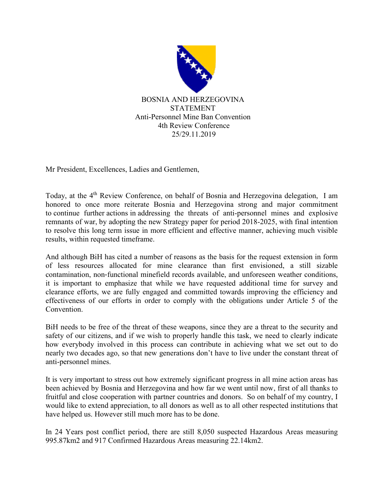

Mr President, Excellences, Ladies and Gentlemen,

Today, at the 4<sup>th</sup> Review Conference, on behalf of Bosnia and Herzegovina delegation, I am honored to once more reiterate Bosnia and Herzegovina strong and major commitment to continue further actions in addressing the threats of anti-personnel mines and explosive remnants of war, by adopting the new Strategy paper for period 2018-2025, with final intention to resolve this long term issue in more efficient and effective manner, achieving much visible results, within requested timeframe.

And although BiH has cited a number of reasons as the basis for the request extension in form of less resources allocated for mine clearance than first envisioned, a still sizable contamination, non‐functional minefield records available, and unforeseen weather conditions, it is important to emphasize that while we have requested additional time for survey and clearance efforts, we are fully engaged and committed towards improving the efficiency and effectiveness of our efforts in order to comply with the obligations under Article 5 of the **Convention** 

BiH needs to be free of the threat of these weapons, since they are a threat to the security and safety of our citizens, and if we wish to properly handle this task, we need to clearly indicate how everybody involved in this process can contribute in achieving what we set out to do nearly two decades ago, so that new generations don't have to live under the constant threat of anti-personnel mines.

It is very important to stress out how extremely significant progress in all mine action areas has been achieved by Bosnia and Herzegovina and how far we went until now, first of all thanks to fruitful and close cooperation with partner countries and donors. So on behalf of my country, I would like to extend appreciation, to all donors as well as to all other respected institutions that have helped us. However still much more has to be done.

In 24 Years post conflict period, there are still 8,050 suspected Hazardous Areas measuring 995.87km2 and 917 Confirmed Hazardous Areas measuring 22.14km2.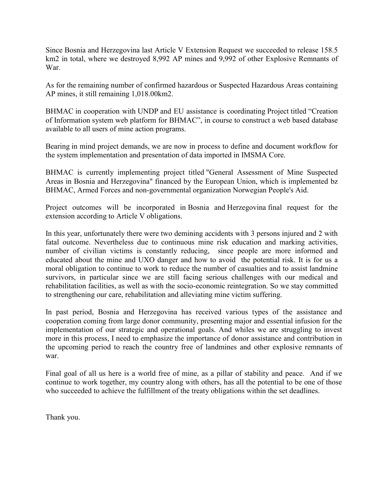Since Bosnia and Herzegovina last Article V Extension Request we succeeded to release 158.5 km2 in total, where we destroyed 8,992 AP mines and 9,992 of other Explosive Remnants of War.

As for the remaining number of confirmed hazardous or Suspected Hazardous Areas containing AP mines, it still remaining 1,018.00km2.

BHMAC in cooperation with UNDP and EU assistance is coordinating Project titled "Creation of Information system web platform for BHMAC", in course to construct a web based database available to all users of mine action programs.

Bearing in mind project demands, we are now in process to define and document workflow for the system implementation and presentation of data imported in IMSMA Core.

BHMAC is currently implementing project titled "General Assessment of Mine Suspected Areas in Bosnia and Herzegovina" financed by the European Union, which is implemented bz BHMAC, Armed Forces and non-governmental organization Norwegian People's Aid.

Project outcomes will be incorporated in Bosnia and Herzegovina final request for the extension according to Article V obligations.

In this year, unfortunately there were two demining accidents with 3 persons injured and 2 with fatal outcome. Nevertheless due to continuous mine risk education and marking activities, number of civilian victims is constantly reducing, since people are more informed and educated about the mine and UXO danger and how to avoid the potential risk. It is for us a moral obligation to continue to work to reduce the number of casualties and to assist landmine survivors, in particular since we are still facing serious challenges with our medical and rehabilitation facilities, as well as with the socio-economic reintegration. So we stay committed to strengthening our care, rehabilitation and alleviating mine victim suffering.

In past period, Bosnia and Herzegovina has received various types of the assistance and cooperation coming from large donor community, presenting major and essential infusion for the implementation of our strategic and operational goals. And whiles we are struggling to invest more in this process, I need to emphasize the importance of donor assistance and contribution in the upcoming period to reach the country free of landmines and other explosive remnants of war.

Final goal of all us here is a world free of mine, as a pillar of stability and peace. And if we continue to work together, my country along with others, has all the potential to be one of those who succeeded to achieve the fulfillment of the treaty obligations within the set deadlines.

Thank you.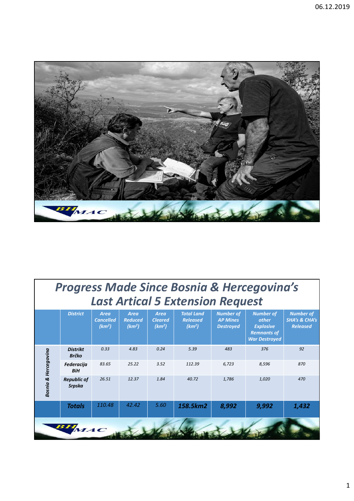

| <b>Progress Made Since Bosnia &amp; Hercegovina's</b><br><b>Last Artical 5 Extension Request</b> |                                 |                                                       |                                                     |                                                     |                                                            |                                                         |                                                                                             |                                                                 |
|--------------------------------------------------------------------------------------------------|---------------------------------|-------------------------------------------------------|-----------------------------------------------------|-----------------------------------------------------|------------------------------------------------------------|---------------------------------------------------------|---------------------------------------------------------------------------------------------|-----------------------------------------------------------------|
|                                                                                                  | <b>District</b>                 | <b>Area</b><br><b>Cancelled</b><br>(km <sup>2</sup> ) | <b>Area</b><br><b>Reduced</b><br>(km <sup>2</sup> ) | <b>Area</b><br><b>Cleared</b><br>(km <sup>2</sup> ) | <b>Total Land</b><br><b>Released</b><br>(km <sup>2</sup> ) | <b>Number of</b><br><b>AP Mines</b><br><b>Destroyed</b> | <b>Number of</b><br>other<br><b>Explosive</b><br><b>Remnants of</b><br><b>War Destroyed</b> | <b>Number of</b><br><b>SHA's &amp; CHA's</b><br><b>Released</b> |
| <b>Bosnia &amp; Hercegovina</b>                                                                  | <b>Distrikt</b><br><b>Brčko</b> | 0.33                                                  | 4.83                                                | 0.24                                                | 5.39                                                       | 483                                                     | 376                                                                                         | 92                                                              |
|                                                                                                  | <b>Federacija</b><br><b>BiH</b> | 83.65                                                 | 25.22                                               | 3.52                                                | 112.39                                                     | 6,723                                                   | 8,596                                                                                       | 870                                                             |
|                                                                                                  | <b>Republic of</b><br>Srpska    | 26.51                                                 | 12.37                                               | 1.84                                                | 40.72                                                      | 1.786                                                   | 1,020                                                                                       | 470                                                             |
|                                                                                                  | <b>Totals</b>                   | 110.48                                                | 42.42                                               | 5.60                                                | 158.5km2                                                   | 8,992                                                   | 9,992                                                                                       | 1,432                                                           |
|                                                                                                  | $BH$ MAC                        |                                                       |                                                     |                                                     |                                                            |                                                         |                                                                                             |                                                                 |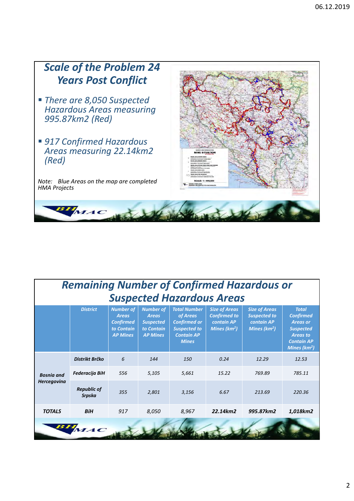

| <b>Remaining Number of Confirmed Hazardous or</b><br><b>Suspected Hazardous Areas</b> |                              |                                                                                       |                                                                                       |                                                                                                                    |                                                                                     |                                                                                       |                                                                                                                                  |
|---------------------------------------------------------------------------------------|------------------------------|---------------------------------------------------------------------------------------|---------------------------------------------------------------------------------------|--------------------------------------------------------------------------------------------------------------------|-------------------------------------------------------------------------------------|---------------------------------------------------------------------------------------|----------------------------------------------------------------------------------------------------------------------------------|
|                                                                                       | <b>District</b>              | <b>Number of</b><br><b>Areas</b><br><b>Confirmed</b><br>to Contain<br><b>AP Mines</b> | <b>Number of</b><br><b>Areas</b><br><b>Suspected</b><br>to Contain<br><b>AP Mines</b> | <b>Total Number</b><br>of Areas<br><b>Confirmed or</b><br><b>Suspected to</b><br><b>Contain AP</b><br><b>Mines</b> | <b>Size of Areas</b><br><b>Confirmed to</b><br><b>contain AP</b><br>Mines ( $km2$ ) | <b>Size of Areas</b><br><b>Suspected to</b><br>contain AP<br>Mines (km <sup>2</sup> ) | <b>Total</b><br><b>Confirmed</b><br><b>Areas or</b><br><b>Suspected</b><br><b>Areas to</b><br><b>Contain AP</b><br>Mines $(km2)$ |
| <b>Bosnia</b> and<br><b>Hercegovina</b>                                               | Distrikt Brčko               | 6                                                                                     | 144                                                                                   | 150                                                                                                                | 0.24                                                                                | 12.29                                                                                 | 12.53                                                                                                                            |
|                                                                                       | Federacija BiH               | 556                                                                                   | 5,105                                                                                 | 5,661                                                                                                              | 15.22                                                                               | 769.89                                                                                | 785.11                                                                                                                           |
|                                                                                       | <b>Republic of</b><br>Srpska | 355                                                                                   | 2,801                                                                                 | 3,156                                                                                                              | 6.67                                                                                | 213.69                                                                                | 220.36                                                                                                                           |
| <b>TOTALS</b>                                                                         | <b>BiH</b>                   | 917                                                                                   | 8,050                                                                                 | 8,967                                                                                                              | 22.14km2                                                                            | 995.87km2                                                                             | 1,018km2                                                                                                                         |
|                                                                                       | BHMAC                        |                                                                                       |                                                                                       |                                                                                                                    |                                                                                     |                                                                                       |                                                                                                                                  |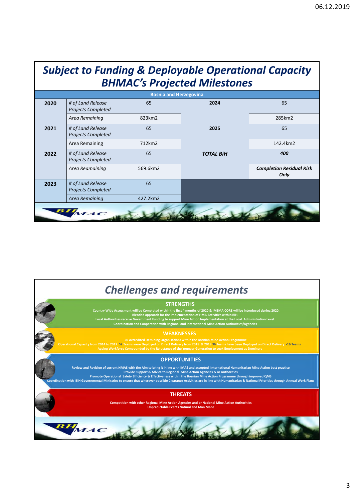| <b>Subject to Funding &amp; Deployable Operational Capacity</b><br><b>BHMAC's Projected Milestones</b> |                                                |          |                  |                                         |  |  |  |
|--------------------------------------------------------------------------------------------------------|------------------------------------------------|----------|------------------|-----------------------------------------|--|--|--|
| <b>Bosnia and Herzegovina</b>                                                                          |                                                |          |                  |                                         |  |  |  |
| 2020                                                                                                   | # of Land Release<br><b>Projects Completed</b> | 65       | 2024             | 65                                      |  |  |  |
|                                                                                                        | Area Remaining                                 | 823km2   |                  | 285km2                                  |  |  |  |
| 2021                                                                                                   | # of Land Release<br><b>Projects Completed</b> | 65       | 2025             | 65                                      |  |  |  |
|                                                                                                        | Area Remaining                                 | 712km2   |                  | 142.4km2                                |  |  |  |
| 2022                                                                                                   | # of Land Release<br><b>Projects Completed</b> | 65       | <b>TOTAL BIH</b> | 400                                     |  |  |  |
|                                                                                                        | Area Reamaining                                | 569.6km2 |                  | <b>Completion Residual Risk</b><br>Only |  |  |  |
| 2023                                                                                                   | # of Land Release<br><b>Projects Completed</b> | 65       |                  |                                         |  |  |  |
|                                                                                                        | Area Remaining                                 | 427.2km2 |                  |                                         |  |  |  |
|                                                                                                        | $\boldsymbol{M}\boldsymbol{A}\boldsymbol{C}$   |          |                  |                                         |  |  |  |

# *Chellenges and requirements*

## **STRENGTHS**

Country Wide Assessment will be Completed within the first 4 months of 2020 & IMSMA CORE will be introduced during 2020.<br>Blended approach for the implementation of HMA Activities within BiH.<br>Local Authorities receive Gover

Local Authorities reconnel<br>Coordin<br>Coordin

#### **WEAKNESSES**

 $\frac{1}{2}$ 20 Accredited Demining Organisations within the Bosnian Mine Action Programme<br>Operational Capacity from 2014 to 2017 52 Teams were Deployed on Direct Delivery from 2018 & 2019 36 Teams have been Deployed on Direct Delivery

requirements and Ageing Workforce Company<br>Ageing Workforce Company

# **OPPORTUNITIES**

d Revision o Review and Revision of current NMAS with the Aim to bring it inline with IMAS and accepted International Humanitarian Mine Action best practice<br>Provide Support & Advice to Regional Mine Action Agencies & or Authorities<br>Pro

Promote Operational Safe<br>On with BiH Governmental Ministries to ense

## **THREATS**

and assistance **Competition with other Regional Mine Action Agencies and or National Mine Action Authorities Unpredictable Events Natural and Man Made** 

BHMAC